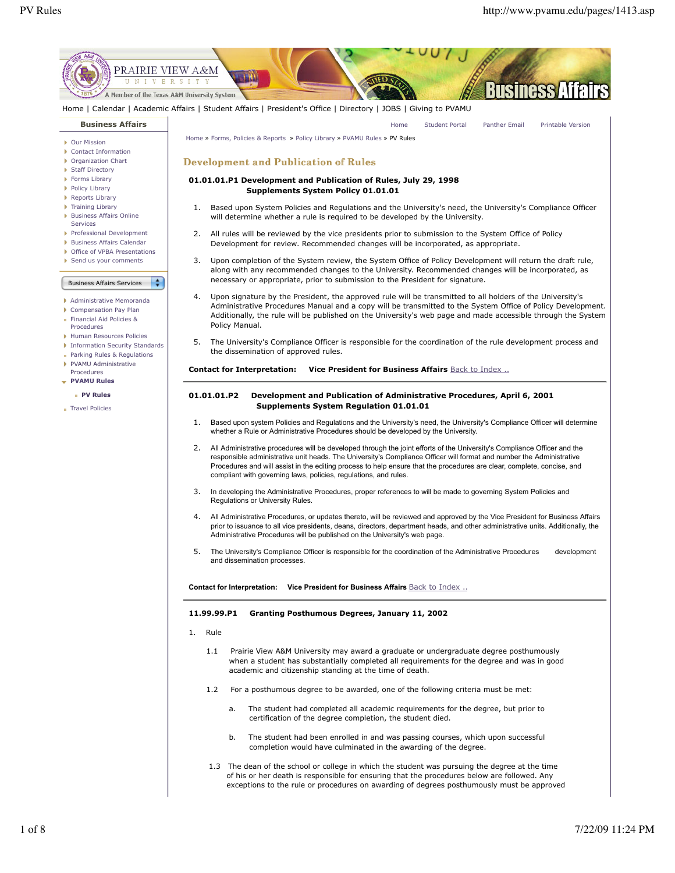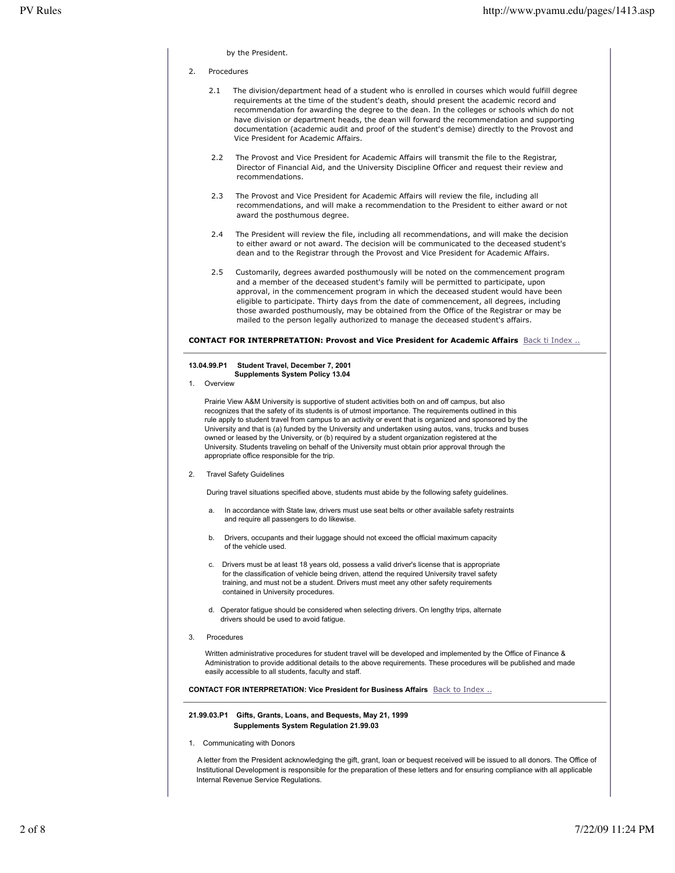by the President.

#### 2. Procedures

- 2.1 The division/department head of a student who is enrolled in courses which would fulfill degree requirements at the time of the student's death, should present the academic record and recommendation for awarding the degree to the dean. In the colleges or schools which do not have division or department heads, the dean will forward the recommendation and supporting documentation (academic audit and proof of the student's demise) directly to the Provost and Vice President for Academic Affairs.
- 2.2 The Provost and Vice President for Academic Affairs will transmit the file to the Registrar, Director of Financial Aid, and the University Discipline Officer and request their review and recommendations.
- 2.3 The Provost and Vice President for Academic Affairs will review the file, including all recommendations, and will make a recommendation to the President to either award or not award the posthumous degree.
- 2.4 The President will review the file, including all recommendations, and will make the decision to either award or not award. The decision will be communicated to the deceased student's dean and to the Registrar through the Provost and Vice President for Academic Affairs.
- 2.5 Customarily, degrees awarded posthumously will be noted on the commencement program and a member of the deceased student's family will be permitted to participate, upon approval, in the commencement program in which the deceased student would have been eligible to participate. Thirty days from the date of commencement, all degrees, including those awarded posthumously, may be obtained from the Office of the Registrar or may be mailed to the person legally authorized to manage the deceased student's affairs.

#### **CONTACT FOR INTERPRETATION: Provost and Vice President for Academic Affairs** Back ti Index ..

### **13.04.99.P1 Student Travel, December 7, 2001 Supplements System Policy 13.04**

1. Overview

 Prairie View A&M University is supportive of student activities both on and off campus, but also recognizes that the safety of its students is of utmost importance. The requirements outlined in this rule apply to student travel from campus to an activity or event that is organized and sponsored by the University and that is (a) funded by the University and undertaken using autos, vans, trucks and buses owned or leased by the University, or (b) required by a student organization registered at the University. Students traveling on behalf of the University must obtain prior approval through the appropriate office responsible for the trip.

**Travel Safety Guidelines** 

During travel situations specified above, students must abide by the following safety guidelines.

- a. In accordance with State law, drivers must use seat belts or other available safety restraints and require all passengers to do likewise.
- b. Drivers, occupants and their luggage should not exceed the official maximum capacity of the vehicle used.
- c. Drivers must be at least 18 years old, possess a valid driver's license that is appropriate for the classification of vehicle being driven, attend the required University travel safety training, and must not be a student. Drivers must meet any other safety requirements contained in University procedures.
- d. Operator fatigue should be considered when selecting drivers. On lengthy trips, alternate drivers should be used to avoid fatigue.
- **Procedures**

Written administrative procedures for student travel will be developed and implemented by the Office of Finance & Administration to provide additional details to the above requirements. These procedures will be published and made easily accessible to all students, faculty and staff.

# **CONTACT FOR INTERPRETATION: Vice President for Business Affairs** Back to Index ..

### **21.99.03.P1 Gifts, Grants, Loans, and Bequests, May 21, 1999 Supplements System Regulation 21.99.03**

1. Communicating with Donors

 A letter from the President acknowledging the gift, grant, loan or bequest received will be issued to all donors. The Office of Institutional Development is responsible for the preparation of these letters and for ensuring compliance with all applicable Internal Revenue Service Regulations.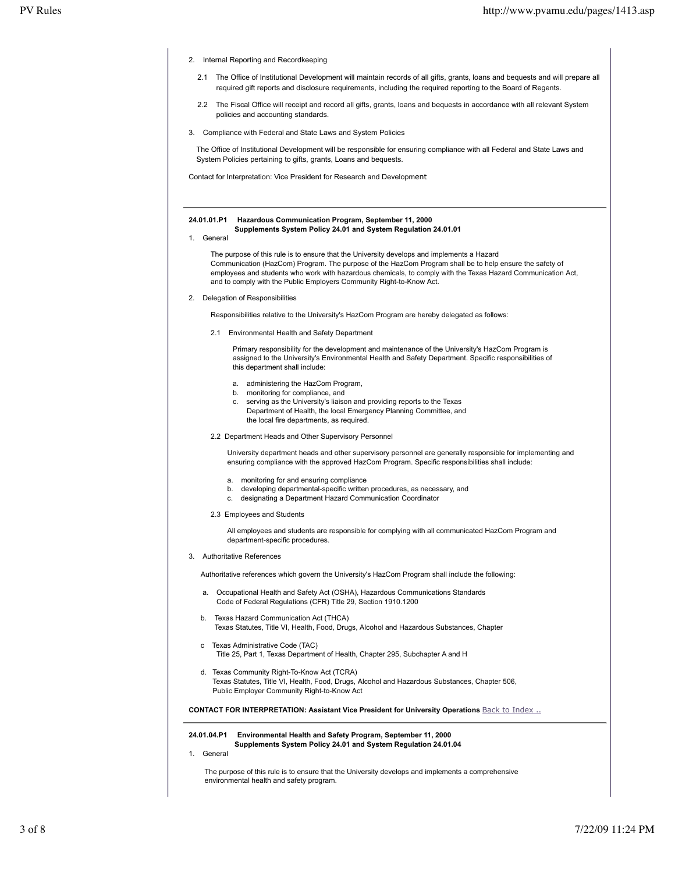- 2. Internal Reporting and Recordkeeping
	- 2.1 The Office of Institutional Development will maintain records of all gifts, grants, loans and bequests and will prepare all required gift reports and disclosure requirements, including the required reporting to the Board of Regents.
	- 2.2 The Fiscal Office will receipt and record all gifts, grants, loans and bequests in accordance with all relevant System policies and accounting standards.
- 3. Compliance with Federal and State Laws and System Policies

The Office of Institutional Development will be responsible for ensuring compliance with all Federal and State Laws and System Policies pertaining to gifts, grants, Loans and bequests.

Contact for Interpretation: Vice President for Research and Development

### **24.01.01.P1 Hazardous Communication Program, September 11, 2000 Supplements System Policy 24.01 and System Regulation 24.01.01**

1. General

The purpose of this rule is to ensure that the University develops and implements a Hazard Communication (HazCom) Program. The purpose of the HazCom Program shall be to help ensure the safety of employees and students who work with hazardous chemicals, to comply with the Texas Hazard Communication Act, and to comply with the Public Employers Community Right-to-Know Act.

2. Delegation of Responsibilities

Responsibilities relative to the University's HazCom Program are hereby delegated as follows:

2.1 Environmental Health and Safety Department

Primary responsibility for the development and maintenance of the University's HazCom Program is assigned to the University's Environmental Health and Safety Department. Specific responsibilities of this department shall include:

- a. administering the HazCom Program,
- b. monitoring for compliance, and
- c. serving as the University's liaison and providing reports to the Texas Department of Health, the local Emergency Planning Committee, and the local fire departments, as required.
- 2.2 Department Heads and Other Supervisory Personnel

University department heads and other supervisory personnel are generally responsible for implementing and ensuring compliance with the approved HazCom Program. Specific responsibilities shall include:

- a. monitoring for and ensuring compliance
- b. developing departmental-specific written procedures, as necessary, and
- c. designating a Department Hazard Communication Coordinator
- 2.3 Employees and Students

All employees and students are responsible for complying with all communicated HazCom Program and department-specific procedures.

3. Authoritative References

Authoritative references which govern the University's HazCom Program shall include the following:

- Occupational Health and Safety Act (OSHA), Hazardous Communications Standards Code of Federal Regulations (CFR) Title 29, Section 1910.1200
- b. Texas Hazard Communication Act (THCA) Texas Statutes, Title VI, Health, Food, Drugs, Alcohol and Hazardous Substances, Chapter
- c Texas Administrative Code (TAC) Title 25, Part 1, Texas Department of Health, Chapter 295, Subchapter A and H
- d. Texas Community Right-To-Know Act (TCRA) Texas Statutes, Title VI, Health, Food, Drugs, Alcohol and Hazardous Substances, Chapter 506, Public Employer Community Right-to-Know Act

**CONTACT FOR INTERPRETATION: Assistant Vice President for University Operations Back to Index ...** 

#### **24.01.04.P1 Environmental Health and Safety Program, September 11, 2000 Supplements System Policy 24.01 and System Regulation 24.01.04**

1. General

 The purpose of this rule is to ensure that the University develops and implements a comprehensive environmental health and safety program.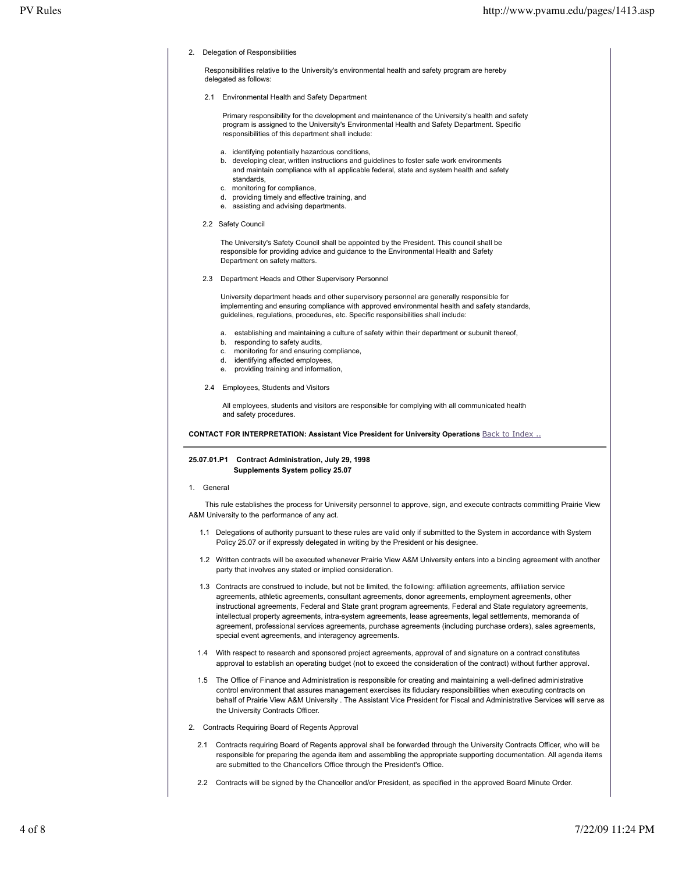2. Delegation of Responsibilities

 Responsibilities relative to the University's environmental health and safety program are hereby delegated as follows:

2.1 Environmental Health and Safety Department

 Primary responsibility for the development and maintenance of the University's health and safety program is assigned to the University's Environmental Health and Safety Department. Specific responsibilities of this department shall include:

- a. identifying potentially hazardous conditions,
- b. developing clear, written instructions and guidelines to foster safe work environments and maintain compliance with all applicable federal, state and system health and safety standards,
- c. monitoring for compliance,
- d. providing timely and effective training, and
- e. assisting and advising departments.
- 2.2 Safety Council

 The University's Safety Council shall be appointed by the President. This council shall be responsible for providing advice and guidance to the Environmental Health and Safety Department on safety matters.

2.3 Department Heads and Other Supervisory Personnel

 University department heads and other supervisory personnel are generally responsible for implementing and ensuring compliance with approved environmental health and safety standards, guidelines, regulations, procedures, etc. Specific responsibilities shall include:

- a. establishing and maintaining a culture of safety within their department or subunit thereof,
- b. responding to safety audits,
- c. monitoring for and ensuring compliance,
- d. identifying affected employees,
- e. providing training and information,
- 2.4 Employees, Students and Visitors

 All employees, students and visitors are responsible for complying with all communicated health and safety procedures.

**CONTACT FOR INTERPRETATION: Assistant Vice President for University Operations** Back to Index ..

# **25.07.01.P1 Contract Administration, July 29, 1998 Supplements System policy 25.07**

1. General

 This rule establishes the process for University personnel to approve, sign, and execute contracts committing Prairie View A&M University to the performance of any act.

- 1.1 Delegations of authority pursuant to these rules are valid only if submitted to the System in accordance with System Policy 25.07 or if expressly delegated in writing by the President or his designee.
- 1.2 Written contracts will be executed whenever Prairie View A&M University enters into a binding agreement with another party that involves any stated or implied consideration.
- 1.3 Contracts are construed to include, but not be limited, the following: affiliation agreements, affiliation service agreements, athletic agreements, consultant agreements, donor agreements, employment agreements, other instructional agreements, Federal and State grant program agreements, Federal and State regulatory agreements, intellectual property agreements, intra-system agreements, lease agreements, legal settlements, memoranda of agreement, professional services agreements, purchase agreements (including purchase orders), sales agreements, special event agreements, and interagency agreements.
- 1.4 With respect to research and sponsored project agreements, approval of and signature on a contract constitutes approval to establish an operating budget (not to exceed the consideration of the contract) without further approval.
- 1.5 The Office of Finance and Administration is responsible for creating and maintaining a well-defined administrative control environment that assures management exercises its fiduciary responsibilities when executing contracts on behalf of Prairie View A&M University . The Assistant Vice President for Fiscal and Administrative Services will serve as the University Contracts Officer.
- 2. Contracts Requiring Board of Regents Approval
	- 2.1 Contracts requiring Board of Regents approval shall be forwarded through the University Contracts Officer, who will be responsible for preparing the agenda item and assembling the appropriate supporting documentation. All agenda items are submitted to the Chancellors Office through the President's Office.
	- 2.2 Contracts will be signed by the Chancellor and/or President, as specified in the approved Board Minute Order.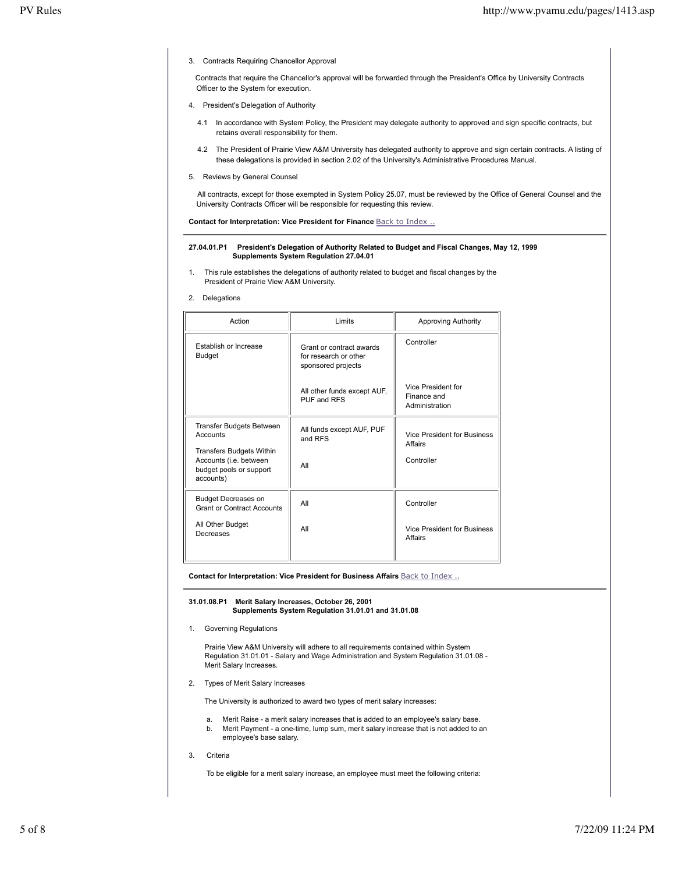3. Contracts Requiring Chancellor Approval

 Contracts that require the Chancellor's approval will be forwarded through the President's Office by University Contracts Officer to the System for execution.

- 4. President's Delegation of Authority
	- 4.1 In accordance with System Policy, the President may delegate authority to approved and sign specific contracts, but retains overall responsibility for them.
	- 4.2 The President of Prairie View A&M University has delegated authority to approve and sign certain contracts. A listing of these delegations is provided in section 2.02 of the University's Administrative Procedures Manual.
- 5. Reviews by General Counsel

 All contracts, except for those exempted in System Policy 25.07, must be reviewed by the Office of General Counsel and the University Contracts Officer will be responsible for requesting this review.

**Contact for Interpretation: Vice President for Finance Back to Index ..** 

### **27.04.01.P1 President's Delegation of Authority Related to Budget and Fiscal Changes, May 12, 1999 Supplements System Regulation 27.04.01**

- 1. This rule establishes the delegations of authority related to budget and fiscal changes by the President of Prairie View A&M University.
- 2. Delegations

| Action                                                                                                                                           | Limits                                                                  | <b>Approving Authority</b>                           |
|--------------------------------------------------------------------------------------------------------------------------------------------------|-------------------------------------------------------------------------|------------------------------------------------------|
| Establish or Increase<br><b>Budget</b>                                                                                                           | Grant or contract awards<br>for research or other<br>sponsored projects | Controller                                           |
|                                                                                                                                                  | All other funds except AUF,<br>PUF and RFS                              | Vice President for<br>Finance and<br>Administration  |
| <b>Transfer Budgets Between</b><br>Accounts<br><b>Transfers Budgets Within</b><br>Accounts (i.e. between<br>budget pools or support<br>accounts) | All funds except AUF, PUF<br>and RFS<br>All                             | Vice President for Business<br>Affairs<br>Controller |
| <b>Budget Decreases on</b><br><b>Grant or Contract Accounts</b><br>All Other Budget<br>Decreases                                                 | All<br>All                                                              | Controller<br>Vice President for Business<br>Affairs |

**Contact for Interpretation: Vice President for Business Affairs** Back to Index ..

**31.01.08.P1 Merit Salary Increases, October 26, 2001 Supplements System Regulation 31.01.01 and 31.01.08**

1. Governing Regulations

 Prairie View A&M University will adhere to all requirements contained within System Regulation 31.01.01 - Salary and Wage Administration and System Regulation 31.01.08 - Merit Salary Increases.

2. Types of Merit Salary Increases

The University is authorized to award two types of merit salary increases:

- a. Merit Raise a merit salary increases that is added to an employee's salary base. b. Merit Payment - a one-time, lump sum, merit salary increase that is not added to an employee's base salary.
- 3. Criteria

To be eligible for a merit salary increase, an employee must meet the following criteria: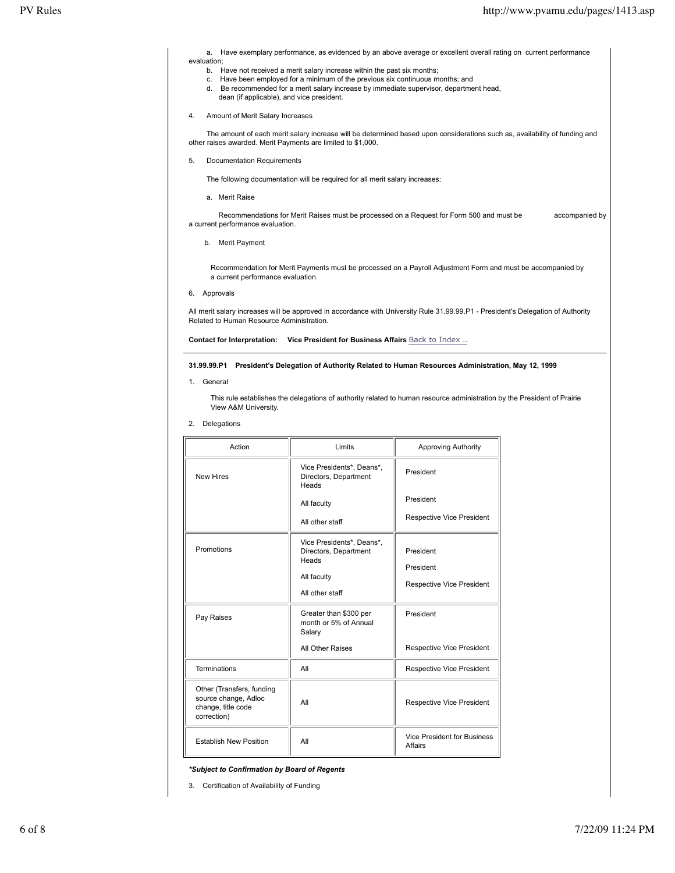a. Have exemplary performance, as evidenced by an above average or excellent overall rating on current performance evaluation;

- b. Have not received a merit salary increase within the past six months;
- c. Have been employed for a minimum of the previous six continuous months; and
- d. Be recommended for a merit salary increase by immediate supervisor, department head, dean (if applicable), and vice president.
- 4. Amount of Merit Salary Increases

 The amount of each merit salary increase will be determined based upon considerations such as, availability of funding and other raises awarded. Merit Payments are limited to \$1,000.

5. Documentation Requirements

The following documentation will be required for all merit salary increases:

a. Merit Raise

 Recommendations for Merit Raises must be processed on a Request for Form 500 and must be accompanied by a current performance evaluation.

b. Merit Payment

Recommendation for Merit Payments must be processed on a Payroll Adjustment Form and must be accompanied by a current performance evaluation.

6. Approvals

All merit salary increases will be approved in accordance with University Rule 31.99.99.P1 - President's Delegation of Authority Related to Human Resource Administration.

**Contact for Interpretation: Vice President for Business Affairs Back to Index ..** 

# **31.99.99.P1 President's Delegation of Authority Related to Human Resources Administration, May 12, 1999**

1. General

This rule establishes the delegations of authority related to human resource administration by the President of Prairie View A&M University.

2. Delegations

| Action                                                                                 | Limits                                                                                                           | <b>Approving Authority</b>                          |
|----------------------------------------------------------------------------------------|------------------------------------------------------------------------------------------------------------------|-----------------------------------------------------|
| <b>New Hires</b>                                                                       | Vice Presidents*, Deans*,<br>Directors, Department<br>Heads                                                      | President                                           |
|                                                                                        | All faculty                                                                                                      | President<br>Respective Vice President              |
| Promotions                                                                             | All other staff<br>Vice Presidents*, Deans*,<br>Directors, Department<br>Heads<br>All faculty<br>All other staff | President<br>President<br>Respective Vice President |
| Pay Raises                                                                             | Greater than \$300 per<br>month or 5% of Annual<br>Salary<br>All Other Raises                                    | President<br><b>Respective Vice President</b>       |
|                                                                                        |                                                                                                                  |                                                     |
| <b>Terminations</b>                                                                    | All                                                                                                              | Respective Vice President                           |
| Other (Transfers, funding<br>source change, Adloc<br>change, title code<br>correction) | All                                                                                                              | Respective Vice President                           |
| <b>Establish New Position</b>                                                          | All                                                                                                              | Vice President for Business<br>Affairs              |

*\*Subject to Confirmation by Board of Regents*

3. Certification of Availability of Funding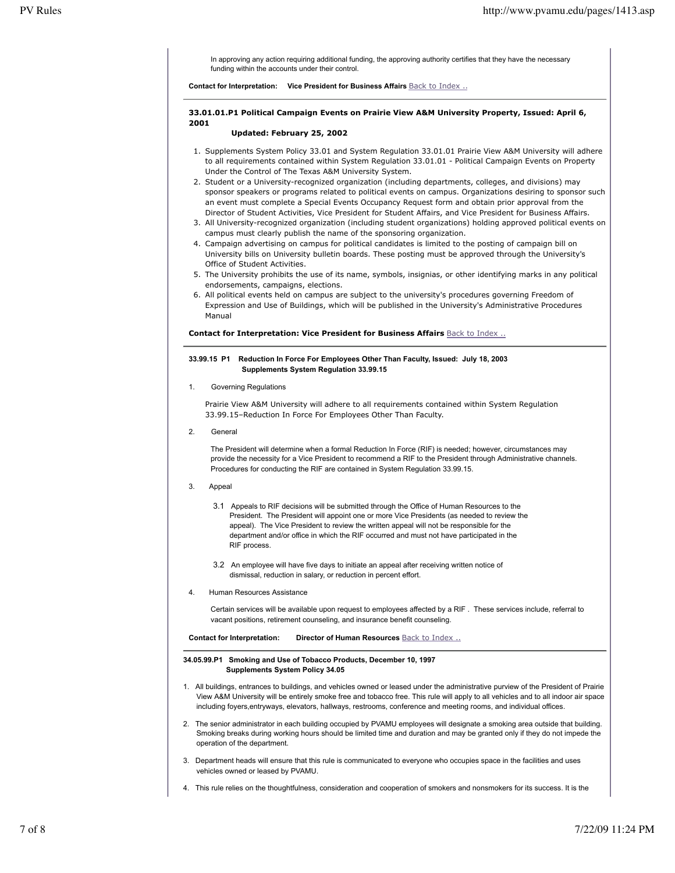In approving any action requiring additional funding, the approving authority certifies that they have the necessary funding within the accounts under their control.

**Contact for Interpretation: Vice President for Business Affairs** Back to Index ..

# **33.01.01.P1 Political Campaign Events on Prairie View A&M University Property, Issued: April 6, 2001**

# **Updated: February 25, 2002**

- 1. Supplements System Policy 33.01 and System Regulation 33.01.01 Prairie View A&M University will adhere to all requirements contained within System Regulation 33.01.01 - Political Campaign Events on Property Under the Control of The Texas A&M University System.
- 2. Student or a University-recognized organization (including departments, colleges, and divisions) may sponsor speakers or programs related to political events on campus. Organizations desiring to sponsor such an event must complete a Special Events Occupancy Request form and obtain prior approval from the Director of Student Activities, Vice President for Student Affairs, and Vice President for Business Affairs.
- 3. All University-recognized organization (including student organizations) holding approved political events on campus must clearly publish the name of the sponsoring organization.
- 4. Campaign advertising on campus for political candidates is limited to the posting of campaign bill on University bills on University bulletin boards. These posting must be approved through the University's Office of Student Activities.
- 5. The University prohibits the use of its name, symbols, insignias, or other identifying marks in any political endorsements, campaigns, elections.
- 6. All political events held on campus are subject to the university's procedures governing Freedom of Expression and Use of Buildings, which will be published in the University's Administrative Procedures Manual

**Contact for Interpretation: Vice President for Business Affairs** Back to Index ..

# **33.99.15 P1 Reduction In Force For Employees Other Than Faculty, Issued: July 18, 2003 Supplements System Regulation 33.99.15**

1. Governing Regulations

Prairie View A&M University will adhere to all requirements contained within System Regulation 33.99.15–Reduction In Force For Employees Other Than Faculty.

2. General

The President will determine when a formal Reduction In Force (RIF) is needed; however, circumstances may provide the necessity for a Vice President to recommend a RIF to the President through Administrative channels. Procedures for conducting the RIF are contained in System Regulation 33.99.15.

- 3. Appeal
	- 3.1 Appeals to RIF decisions will be submitted through the Office of Human Resources to the President. The President will appoint one or more Vice Presidents (as needed to review the appeal). The Vice President to review the written appeal will not be responsible for the department and/or office in which the RIF occurred and must not have participated in the RIF process.
	- 3.2 An employee will have five days to initiate an appeal after receiving written notice of dismissal, reduction in salary, or reduction in percent effort.
- 4. Human Resources Assistance

Certain services will be available upon request to employees affected by a RIF . These services include, referral to vacant positions, retirement counseling, and insurance benefit counseling.

**Contact for Interpretation: Director of Human Resources** Back to Index ..

#### **34.05.99.P1 Smoking and Use of Tobacco Products, December 10, 1997 Supplements System Policy 34.05**

- 1. All buildings, entrances to buildings, and vehicles owned or leased under the administrative purview of the President of Prairie View A&M University will be entirely smoke free and tobacco free. This rule will apply to all vehicles and to all indoor air space including foyers,entryways, elevators, hallways, restrooms, conference and meeting rooms, and individual offices.
- 2. The senior administrator in each building occupied by PVAMU employees will designate a smoking area outside that building. Smoking breaks during working hours should be limited time and duration and may be granted only if they do not impede the operation of the department.
- 3. Department heads will ensure that this rule is communicated to everyone who occupies space in the facilities and uses vehicles owned or leased by PVAMU.
- 4. This rule relies on the thoughtfulness, consideration and cooperation of smokers and nonsmokers for its success. It is the